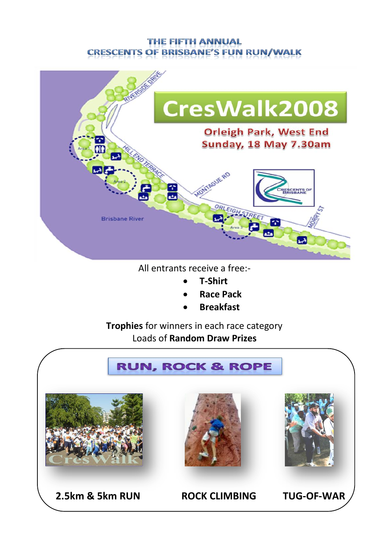#### **THE FIFTH ANNUAL CRESCENTS OF BRISBANE'S FUN RUN/WALK**



All entrants receive a free:-

- **T-Shirt**
- **Race Pack**
- **Breakfast**

**Trophies** for winners in each race category Loads of **Random Draw Prizes**

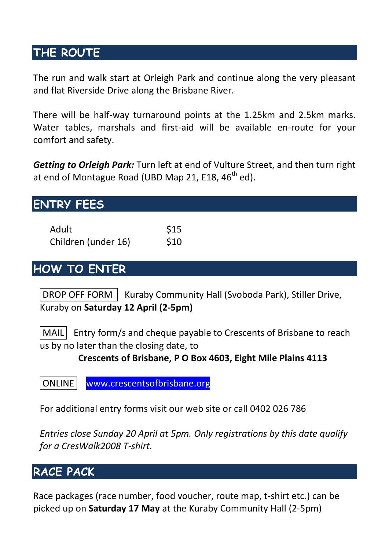## **THE ROUTE**

The run and walk start at Orleigh Park and continue along the very pleasant and flat Riverside Drive along the Brisbane River.

There will be half-way turnaround points at the 1.25km and 2.5km marks. Water tables, marshals and first-aid will be available en-route for your comfort and safety.

*Getting to Orleigh Park:* Turn left at end of Vulture Street, and then turn right at end of Montague Road (UBD Map 21, E18, 46<sup>th</sup> ed).

# **ENTRY FEES**

| Adult               | \$15 |
|---------------------|------|
| Children (under 16) | \$10 |

# **HOW TO ENTER**

 $\Box$ DROP OFF FORM  $\Box$  Kuraby Community Hall (Svoboda Park), Stiller Drive, Kuraby on **Saturday 12 April (2-5pm)**

 $\vert$  MAIL Entry form/s and cheque payable to Crescents of Brisbane to reach us by no later than the closing date, to

**Crescents of Brisbane, P O Box 4603, Eight Mile Plains 4113**

ONLINE www.crescentsofbrisbane.org

For additional entry forms visit our web site or call 0402 026 786

*Entries close Sunday 20 April at 5pm. Only registrations by this date qualify for a CresWalk2008 T-shirt.*

# **RACE PACK**

Race packages (race number, food voucher, route map, t-shirt etc.) can be picked up on **Saturday 17 May** at the Kuraby Community Hall (2-5pm)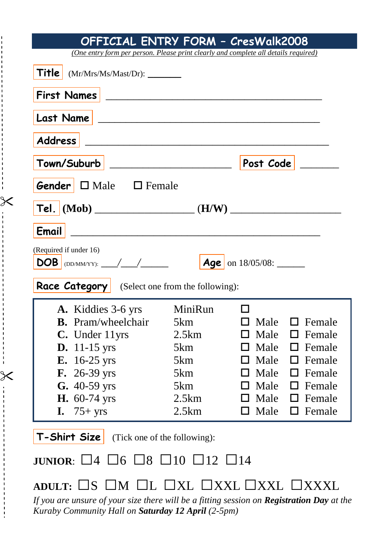| OFFICIAL ENTRY FORM - CresWalk2008                                                                                                                                                                                                      |         |                                  |               |  |
|-----------------------------------------------------------------------------------------------------------------------------------------------------------------------------------------------------------------------------------------|---------|----------------------------------|---------------|--|
| (One entry form per person. Please print clearly and complete all details required)                                                                                                                                                     |         |                                  |               |  |
| Title  <br>(Mr/Mrs/Ms/Mast/Dr):                                                                                                                                                                                                         |         |                                  |               |  |
| <b>First Names</b>                                                                                                                                                                                                                      |         |                                  |               |  |
| Last Name                                                                                                                                                                                                                               |         |                                  |               |  |
| <b>Address</b>                                                                                                                                                                                                                          |         |                                  |               |  |
| Town/Suburb<br><u> 1989 - Johann Barbara, martxa alemaniar a</u>                                                                                                                                                                        |         | Post Code                        |               |  |
| <b>Gender</b> $\Box$ Male $\Box$ Female                                                                                                                                                                                                 |         |                                  |               |  |
| Tel. $(Mob)$ (Mob) (H/W)                                                                                                                                                                                                                |         |                                  |               |  |
| Email                                                                                                                                                                                                                                   |         |                                  |               |  |
| (Required if under 16)                                                                                                                                                                                                                  |         |                                  |               |  |
|                                                                                                                                                                                                                                         |         | $\sqrt{\text{Age}}$ on 18/05/08: |               |  |
| <b>Race Category</b> (Select one from the following):                                                                                                                                                                                   |         |                                  |               |  |
| A. Kiddies 3-6 yrs                                                                                                                                                                                                                      | MiniRun | П                                |               |  |
| <b>B.</b> Pram/wheelchair                                                                                                                                                                                                               | 5km     | $\Box$ Male                      | $\Box$ Female |  |
| C. Under 11yrs                                                                                                                                                                                                                          | 2.5km   | Male<br>□                        | $\Box$ Female |  |
| <b>D.</b> 11-15 yrs                                                                                                                                                                                                                     | 5km     | Male<br>□                        | $\Box$ Female |  |
| <b>E.</b> 16-25 yrs                                                                                                                                                                                                                     | 5km     | $\Box$ Male                      | $\Box$ Female |  |
| F. 26-39 yrs                                                                                                                                                                                                                            | 5km     | $\Box$ Male                      | $\Box$ Female |  |
| G. 40-59 yrs                                                                                                                                                                                                                            | 5km     | $\Box$ Male                      | $\Box$ Female |  |
| H. 60-74 yrs                                                                                                                                                                                                                            | 2.5km   | $\Box$ Male                      | $\Box$ Female |  |
| <b>I.</b> $75 + yrs$                                                                                                                                                                                                                    | 2.5km   | $\Box$ Male                      | $\Box$ Female |  |
| T-Shirt Size<br>(Tick one of the following):                                                                                                                                                                                            |         |                                  |               |  |
| $\Box$ 6 $\Box$ 8 $\Box$ 10 $\Box$ 12 $\Box$ 14<br><b>JUNIOR:</b> $\Box$ 4                                                                                                                                                              |         |                                  |               |  |
| $\square$ M $\square$ L $\square$ XL $\square$ XXL $\square$ XXXL<br>ADULT: $\Box$ S<br>If you are unsure of your size there will be a fitting session on Registration Day at the<br>Kuraby Community Hall on Saturday 12 April (2-5pm) |         |                                  |               |  |

:<br>'<br>.

 $\begin{array}{cccccccccc} 1 & 1 & 1 & 1 & 1 \\ 1 & 1 & 1 & 1 & 1 \\ 1 & 1 & 1 & 1 & 1 \end{array}$ 

 $-1 - 1 - 1 - 1 - 1 - 1$ 

 $\begin{array}{c} 1 \\ 1 \\ 1 \end{array}$